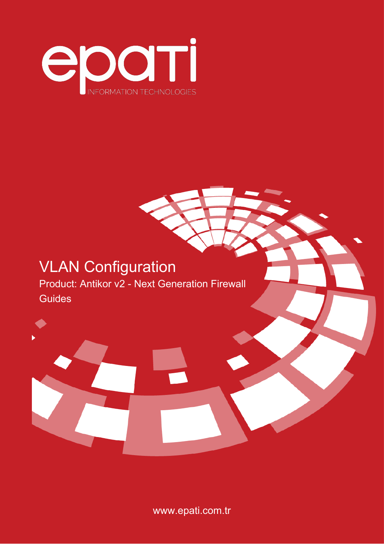

# **VLAN** Configuration

Product: Antikor v2 - Next Generation Firewall Guides



www.epati.com.tr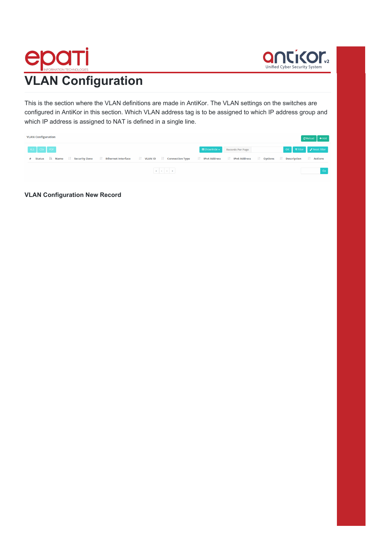



This is the section where the VLAN definitions are made in AntiKor. The VLAN settings on the switches are configured in AntiKor in this section. Which VLAN address tag is to be assigned to which IP address group and which IP address is assigned to NAT is defined in a single line.

| <b>VLAN Configuration</b>                                                                                                                                   |                                      |               |                         |                            | $\bigcirc$ Reload + Add |
|-------------------------------------------------------------------------------------------------------------------------------------------------------------|--------------------------------------|---------------|-------------------------|----------------------------|-------------------------|
| XLS CSV PDF                                                                                                                                                 |                                      | ■ Show/Hide → | <b>Records Per Page</b> | OK T Filter & Reset Filter |                         |
| Status ↓ Name ↓↑ Security Zone ↓↑ Ethernet Interface ↓↑ VLAN ID ↓↑ Connection Type ↓↑ IPv4 Address ↓↑ Pv6 Address ↓↑ Options ↓↑ Description ↓↑ Actions<br># |                                      |               |                         |                            |                         |
|                                                                                                                                                             | $\alpha = \alpha - \beta = \alpha$ . |               |                         |                            | Go                      |

**VLAN Configuration New Record**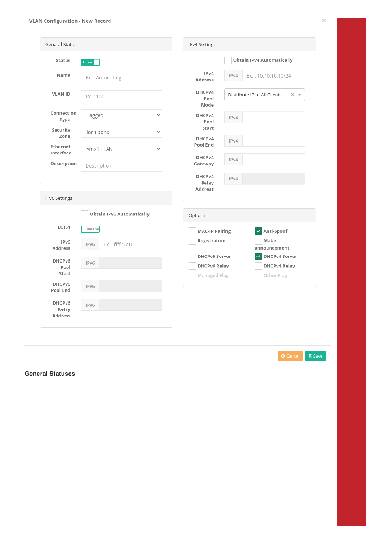| <b>Status</b>                           | Active                           |              |                                             | <b>Obtain IPv4 Automatically</b>                |
|-----------------------------------------|----------------------------------|--------------|---------------------------------------------|-------------------------------------------------|
| Name                                    | Ex.: Accounting                  |              | IPv4<br><b>Address</b>                      | IPv4<br>Ex.: 10.10.10.10/24                     |
| <b>VLAN ID</b>                          | Ex.: 100                         |              | DHCPv4<br>Pool<br>Mode                      | Distribute IP to All Clients<br>$\times$ $\sim$ |
| Connection<br>Type                      | Tagged                           | $\checkmark$ | DHCPv4<br>Pool                              | IPv4                                            |
| Security<br>Zone                        | lan1-zone                        | $\checkmark$ | Start<br>DHCPv4                             |                                                 |
| Ethernet<br>Interface                   | vmx1 - LAN1                      | $\checkmark$ | Pool End                                    | IPv4                                            |
| Description                             | Description                      |              | DHCPv4<br>Gateway                           | IPv4                                            |
|                                         |                                  |              | DHCPv4<br>Relay                             | IPv4                                            |
| IPv6 Settings                           | <b>Obtain IPv6 Automatically</b> |              | Address                                     |                                                 |
| <b>EU164</b>                            | Passive                          |              | Options<br><b>MAC-IP Pairing</b>            | Anti-Spoof                                      |
| IP <sub>V</sub> <sub>6</sub><br>Address | Ex.: ffff::1/16<br>IPv6          |              | Registration                                | Make<br>announcement                            |
| DHCPv6<br>Pool                          | IPv6                             |              | <b>DHCPv6 Server</b><br><b>DHCPv6 Relay</b> | DHCPv4 Server<br><b>DHCPv4 Relay</b>            |
| Start                                   |                                  |              | Managed Flag                                | Other Flag                                      |
| DHCPv6<br>Pool End                      | IPv6                             |              |                                             |                                                 |
|                                         | IPv6                             |              |                                             |                                                 |

**General Statuses**

 $\bullet$  Cancel

。<br>图 Save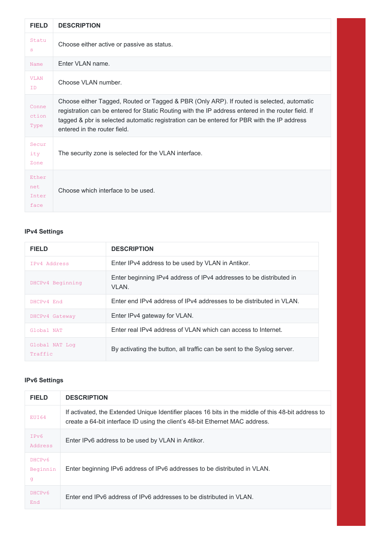| <b>FIELD</b>                  | <b>DESCRIPTION</b>                                                                                                                                                                                                                                                                                                            |
|-------------------------------|-------------------------------------------------------------------------------------------------------------------------------------------------------------------------------------------------------------------------------------------------------------------------------------------------------------------------------|
| Statu<br>S                    | Choose either active or passive as status.                                                                                                                                                                                                                                                                                    |
| Name                          | Enter VLAN name.                                                                                                                                                                                                                                                                                                              |
| <b>VLAN</b><br>TD.            | Choose VLAN number.                                                                                                                                                                                                                                                                                                           |
| Conne<br>ction<br>Type        | Choose either Tagged, Routed or Tagged & PBR (Only ARP). If routed is selected, automatic<br>registration can be entered for Static Routing with the IP address entered in the router field. If<br>tagged & pbr is selected automatic registration can be entered for PBR with the IP address<br>entered in the router field. |
| Secur<br>ity<br>Zone          | The security zone is selected for the VLAN interface.                                                                                                                                                                                                                                                                         |
| Ether<br>net<br>Inter<br>face | Choose which interface to be used.                                                                                                                                                                                                                                                                                            |

### **IPv4 Settings**

| <b>FIELD</b>              | <b>DESCRIPTION</b>                                                           |
|---------------------------|------------------------------------------------------------------------------|
| TPv4 Address              | Enter IPv4 address to be used by VLAN in Antikor.                            |
| DHCPv4 Beginning          | Enter beginning IPv4 address of IPv4 addresses to be distributed in<br>VLAN. |
| DHCPy4 End                | Enter end IPv4 address of IPv4 addresses to be distributed in VLAN.          |
| DHCPv4 Gateway            | Enter IPv4 gateway for VLAN.                                                 |
| Global NAT                | Enter real IPv4 address of VLAN which can access to Internet.                |
| Global NAT Log<br>Traffic | By activating the button, all traffic can be sent to the Syslog server.      |

## **IPv6 Settings**

| <b>FIELD</b>            | <b>DESCRIPTION</b>                                                                                                                                                                  |
|-------------------------|-------------------------------------------------------------------------------------------------------------------------------------------------------------------------------------|
| EUI64                   | If activated, the Extended Unique Identifier places 16 bits in the middle of this 48-bit address to<br>create a 64-bit interface ID using the client's 48-bit Ethernet MAC address. |
| IPv6<br>Address         | Enter IPv6 address to be used by VLAN in Antikor.                                                                                                                                   |
| DHCPv6<br>Beginnin<br>q | Enter beginning IPv6 address of IPv6 addresses to be distributed in VLAN.                                                                                                           |
| DHCPv6<br>End           | Enter end IPv6 address of IPv6 addresses to be distributed in VLAN.                                                                                                                 |